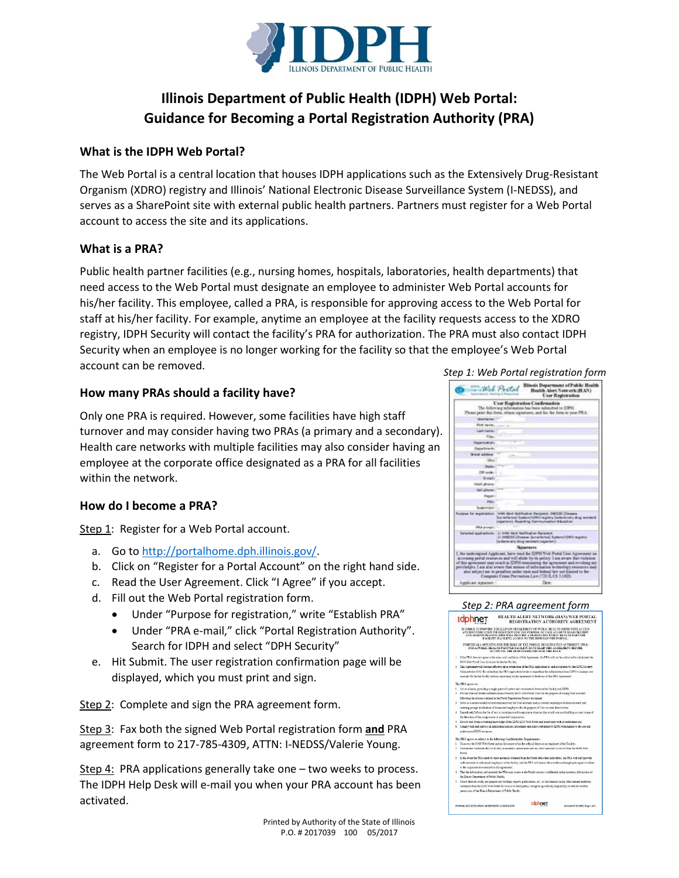

# **Illinois Department of Public Health (IDPH) Web Portal: Guidance for Becoming a Portal Registration Authority (PRA)**

# **What is the IDPH Web Portal?**

The Web Portal is a central location that houses IDPH applications such as the Extensively Drug-Resistant Organism (XDRO) registry and Illinois' National Electronic Disease Surveillance System (I-NEDSS), and serves as a SharePoint site with external public health partners. Partners must register for a Web Portal account to access the site and its applications.

# **What is a PRA?**

Public health partner facilities (e.g., nursing homes, hospitals, laboratories, health departments) that need access to the Web Portal must designate an employee to administer Web Portal accounts for his/her facility. This employee, called a PRA, is responsible for approving access to the Web Portal for staff at his/her facility. For example, anytime an employee at the facility requests access to the XDRO registry, IDPH Security will contact the facility's PRA for authorization. The PRA must also contact IDPH Security when an employee is no longer working for the facility so that the employee's Web Portal account can be removed.

# **How many PRAs should a facility have?**

Only one PRA is required. However, some facilities have high staff turnover and may consider having two PRAs (a primary and a secondary). Health care networks with multiple facilities may also consider having an employee at the corporate office designated as a PRA for all facilities within the network.

# **How do I become a PRA?**

Step 1: Register for a Web Portal account.

- a. Go to [http://portalhome.dph.illinois.gov/.](http://portalhome.dph.illinois.gov/)
- b. Click on "Register for a Portal Account" on the right hand side.
- c. Read the User Agreement. Click "I Agree" if you accept.
- d. Fill out the Web Portal registration form.
	- Under "Purpose for registration," write "Establish PRA"
	- Under "PRA e-mail," click "Portal Registration Authority". Search for IDPH and select "DPH Security"
- e. Hit Submit. The user registration confirmation page will be displayed, which you must print and sign.

Step 2: Complete and sign the PRA agreement form.

Step 3: Fax both the signed Web Portal registration form **and** PRA agreement form to 217-785-4309, ATTN: I-NEDSS/Valerie Young.

Step 4: PRA applications generally take one – two weeks to process. The IDPH Help Desk will e-mail you when your PRA account has been activated.





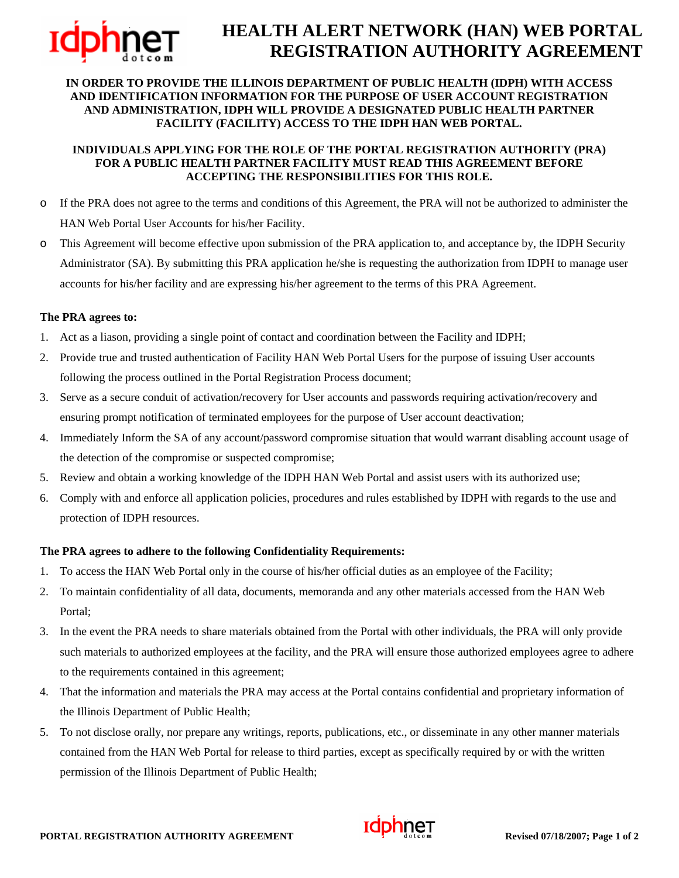

# **HEALTH ALERT NETWORK (HAN) WEB PORTAL REGISTRATION AUTHORITY AGREEMENT**

#### **IN ORDER TO PROVIDE THE ILLINOIS DEPARTMENT OF PUBLIC HEALTH (IDPH) WITH ACCESS AND IDENTIFICATION INFORMATION FOR THE PURPOSE OF USER ACCOUNT REGISTRATION AND ADMINISTRATION, IDPH WILL PROVIDE A DESIGNATED PUBLIC HEALTH PARTNER FACILITY (FACILITY) ACCESS TO THE IDPH HAN WEB PORTAL.**

#### **INDIVIDUALS APPLYING FOR THE ROLE OF THE PORTAL REGISTRATION AUTHORITY (PRA) FOR A PUBLIC HEALTH PARTNER FACILITY MUST READ THIS AGREEMENT BEFORE ACCEPTING THE RESPONSIBILITIES FOR THIS ROLE.**

- o If the PRA does not agree to the terms and conditions of this Agreement, the PRA will not be authorized to administer the HAN Web Portal User Accounts for his/her Facility.
- o This Agreement will become effective upon submission of the PRA application to, and acceptance by, the IDPH Security Administrator (SA). By submitting this PRA application he/she is requesting the authorization from IDPH to manage user accounts for his/her facility and are expressing his/her agreement to the terms of this PRA Agreement.

#### **The PRA agrees to:**

- 1. Act as a liason, providing a single point of contact and coordination between the Facility and IDPH;
- 2. Provide true and trusted authentication of Facility HAN Web Portal Users for the purpose of issuing User accounts following the process outlined in the Portal Registration Process document;
- 3. Serve as a secure conduit of activation/recovery for User accounts and passwords requiring activation/recovery and ensuring prompt notification of terminated employees for the purpose of User account deactivation;
- 4. Immediately Inform the SA of any account/password compromise situation that would warrant disabling account usage of the detection of the compromise or suspected compromise;
- 5. Review and obtain a working knowledge of the IDPH HAN Web Portal and assist users with its authorized use;
- 6. Comply with and enforce all application policies, procedures and rules established by IDPH with regards to the use and protection of IDPH resources.

#### **The PRA agrees to adhere to the following Confidentiality Requirements:**

- 1. To access the HAN Web Portal only in the course of his/her official duties as an employee of the Facility;
- 2. To maintain confidentiality of all data, documents, memoranda and any other materials accessed from the HAN Web Portal;
- 3. In the event the PRA needs to share materials obtained from the Portal with other individuals, the PRA will only provide such materials to authorized employees at the facility, and the PRA will ensure those authorized employees agree to adhere to the requirements contained in this agreement;
- 4. That the information and materials the PRA may access at the Portal contains confidential and proprietary information of the Illinois Department of Public Health;
- 5. To not disclose orally, nor prepare any writings, reports, publications, etc., or disseminate in any other manner materials contained from the HAN Web Portal for release to third parties, except as specifically required by or with the written permission of the Illinois Department of Public Health;